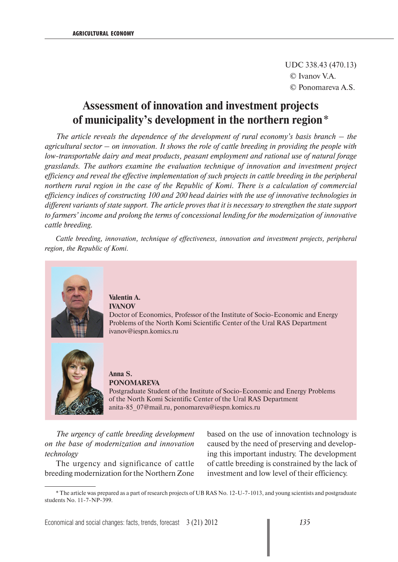UDC 338.43 (470.13) © Ivanov V.А. © Ponomareva А.S.

## **Assessment of innovation and investment projects of municipality's development in the northern region** \*

*The article reveals the dependence of the development of rural economy's basis branch – the agricultural sector – on innovation. It shows the role of cattle breeding in providing the people with low-transportable dairy and meat products, peasant employment and rational use of natural forage grasslands. The authors examine the evaluation technique of innovation and investment project efficiency and reveal the effective implementation of such projects in cattle breeding in the peripheral northern rural region in the case of the Republic of Komi. There is a calculation of commercial efficiency indices of constructing 100 and 200 head dairies with the use of innovative technologies in different variants of state support. The article proves that it is necessary to strengthen the state support to farmers' income and prolong the terms of concessional lending for the modernization of innovative cattle breeding.* 

*Cattle breeding, innovation, technique of effectiveness, innovation and investment projects, peripheral region, the Republic of Komi.*



**Valentin A. IVANOV** Doctor of Economics, Professor of the Institute of Socio-Economic and Energy Problems of the North Komi Scientific Center of the Ural RAS Department ivanov@iespn.komics.ru



**Anna S. PONOMAREVA**

Postgraduate Student of the Institute of Socio-Economic and Energy Problems of the North Komi Scientific Center of the Ural RAS Department anita-85\_07@mail.ru, ponomareva@iespn.komics.ru

*The urgency of cattle breeding development on the base of modernization and innovation technology* 

The urgency and significance of cattle breeding modernization for the Northern Zone based on the use of innovation technology is caused by the need of preserving and developing this important industry. The development of cattle breeding is constrained by the lack of investment and low level of their efficiency.

<sup>\*</sup> The article was prepared as a part of research projects of UB RAS No. 12-U-7-1013, and young scientists and postgraduate students No. 11-7-NP-399.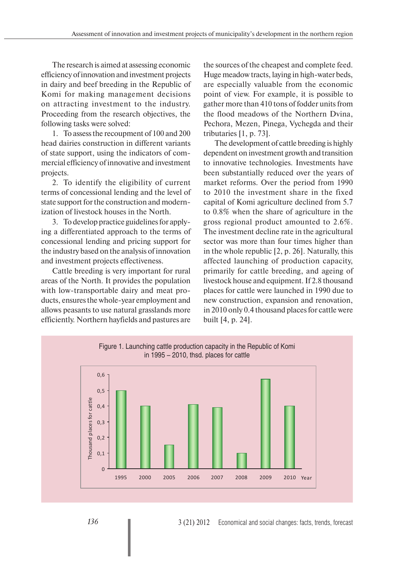The research is aimed at assessing economic efficiency of innovation and investment projects in dairy and beef breeding in the Republic of Komi for making management decisions on attracting investment to the industry. Proceeding from the research objectives, the following tasks were solved:

1. To assess the recoupment of 100 and 200 head dairies construction in different variants of state support, using the indicators of commercial efficiency of innovative and investment projects.

2. To identify the eligibility of current terms of concessional lending and the level of state support for the construction and modernization of livestock houses in the North.

3. To develop practice guidelines for applying a differentiated approach to the terms of concessional lending and pricing support for the industry based on the analysis of innovation and investment projects effectiveness.

Cattle breeding is very important for rural areas of the North. It provides the population with low-transportable dairy and meat products, ensures the whole-year employment and allows peasants to use natural grasslands more efficiently. Northern hayfields and pastures are

the sources of the cheapest and complete feed. Huge meadow tracts, laying in high-water beds, are especially valuable from the economic point of view. For example, it is possible to gather more than 410 tons of fodder units from the flood meadows of the Northern Dvina, Pechora, Mezen, Pinega, Vychegda and their tributaries [1, p. 73].

The development of cattle breeding is highly dependent on investment growth and transition to innovative technologies. Investments have been substantially reduced over the years of market reforms. Over the period from 1990 to 2010 the investment share in the fixed capital of Komi agriculture declined from 5.7 to 0.8% when the share of agriculture in the gross regional product amounted to 2.6%. The investment decline rate in the agricultural sector was more than four times higher than in the whole republic [2, p. 26]. Naturally, this affected launching of production capacity, primarily for cattle breeding, and ageing of livestock house and equipment. If 2.8 thousand places for cattle were launched in 1990 due to new construction, expansion and renovation, in 2010 only 0.4 thousand places for cattle were built [4, p. 24].

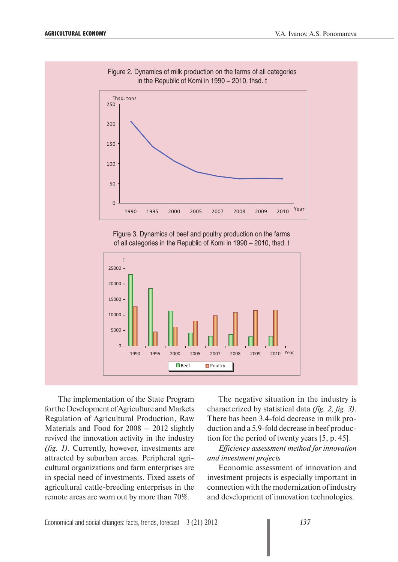

Figure 2. Dynamics of milk production on the farms of all categories in the Republic of Komi in 1990 – 2010, thsd. t

Figure 3. Dynamics of beef and poultry production on the farms of all categories in the Republic of Komi in 1990 – 2010, thsd. t



 The implementation of the State Program for the Development of Agriculture and Markets Regulation of Agricultural Production, Raw Materials and Food for 2008 – 2012 slightly revived the innovation activity in the industry *(fig. 1)*. Currently, however, investments are attracted by suburban areas. Peripheral agricultural organizations and farm enterprises are in special need of investments. Fixed assets of agricultural cattle-breeding enterprises in the remote areas are worn out by more than 70%.

The negative situation in the industry is characterized by statistical data *(fig. 2, fig. 3)*. There has been 3.4-fold decrease in milk production and a 5.9-fold decrease in beef production for the period of twenty years [5, p. 45].

*Efficiency assessment method for innovation and investment projects* 

Economic assessment of innovation and investment projects is especially important in connection with the modernization of industry and development of innovation technologies.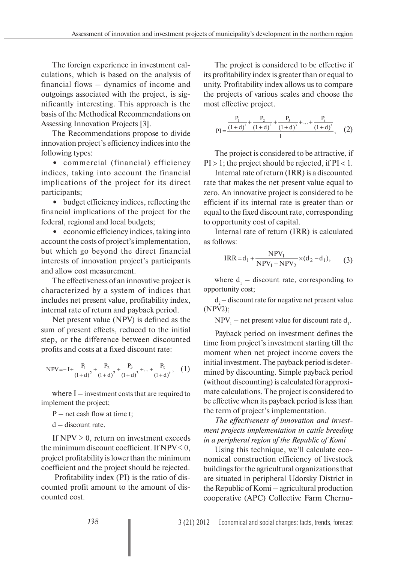The foreign experience in investment calculations, which is based on the analysis of financial flows – dynamics of income and outgoings associated with the project, is significantly interesting. This approach is the basis of the Methodical Recommendations on Assessing Innovation Projects [3].

The Recommendations propose to divide innovation project's efficiency indices into the following types:

**•** commercial (financial) efficiency indices, taking into account the financial implications of the project for its direct participants;

**•** budget efficiency indices, reflecting the financial implications of the project for the federal, regional and local budgets;

**•** economic efficiency indices, taking into account the costs of project's implementation, but which go beyond the direct financial interests of innovation project's participants and allow cost measurement.

The effectiveness of an innovative project is characterized by a system of indices that includes net present value, profitability index, internal rate of return and payback period.

Net present value (NPV) is defined as the sum of present effects, reduced to the initial step, or the difference between discounted profits and costs at a fixed discount rate:

$$
NPV = -I + \frac{P_1}{(1+d)^2} + \frac{P_2}{(1+d)^2} + \frac{P_3}{(1+d)^3} + \dots + \frac{P_t}{(1+d)^t}, \quad (1)
$$

where  $I$  – investment costs that are required to implement the project;

 $P$  – net cash flow at time t:

d – discount rate.

If  $NPV > 0$ , return on investment exceeds the minimum discount coefficient. If  $NPV < 0$ , project profitability is lower than the minimum coefficient and the project should be rejected.

 Profitability index (PI) is the ratio of discounted profit amount to the amount of discounted cost.

The project is considered to be effective if its profitability index is greater than or equal to unity. Profitability index allows us to compare the projects of various scales and choose the most effective project.

$$
PI = \frac{\frac{P_1}{(1+d)^1} + \frac{P_2}{(1+d)^2} + \frac{P_3}{(1+d)^3} + \dots + \frac{P_t}{(1+d)^t}}{I}, \quad (2)
$$

The project is considered to be attractive, if  $PI > 1$ ; the project should be rejected, if  $PI < 1$ .

Internal rate of return (IRR) is a discounted rate that makes the net present value equal to zero. An innovative project is considered to be efficient if its internal rate is greater than or equal to the fixed discount rate, corresponding to opportunity cost of capital.

Internal rate of return (IRR) is calculated as follows:

$$
IRR = d_1 + \frac{NPV_1}{NPV_1 - NPV_2} \times (d_2 - d_1),
$$
 (3)

where  $d_1$  – discount rate, corresponding to opportunity cost;

 $d<sub>2</sub>$  – discount rate for negative net present value (NPV2);

 $NPV_1$  – net present value for discount rate  $d_1$ .

Payback period on investment defines the time from project's investment starting till the moment when net project income covers the initial investment. The payback period is determined by discounting. Simple payback period (without discounting) is calculated for approximate calculations. The project is considered to be effective when its payback period is less than the term of project's implementation.

*The effectiveness of innovation and investment projects implementation in cattle breeding in a peripheral region of the Republic of Komi*

Using this technique, we'll calculate economical construction efficiency of livestock buildings for the agricultural organizations that are situated in peripheral Udorsky District in the Republic of Komi – agricultural production cooperative (APC) Collective Farm Chernu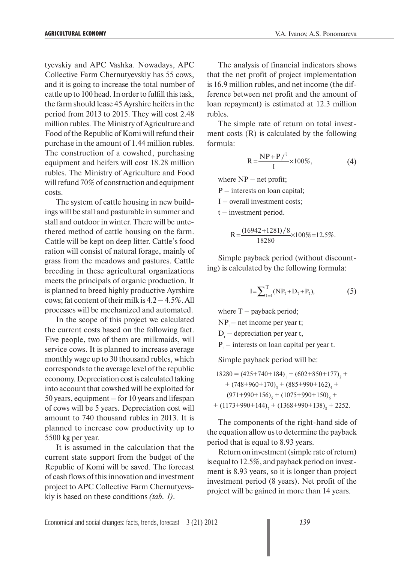tyevskiy and APC Vashka. Nowadays, APC Collective Farm Chernutyevskiy has 55 cows, and it is going to increase the total number of cattle up to 100 head. In order to fulfill this task, the farm should lease 45 Ayrshire heifers in the period from 2013 to 2015. They will cost 2.48 million rubles. The Ministry of Agriculture and Food of the Republic of Komi will refund their purchase in the amount of 1.44 million rubles. The construction of a cowshed, purchasing equipment and heifers will cost 18.28 million rubles. The Ministry of Agriculture and Food will refund 70% of construction and equipment costs.

The system of cattle housing in new buildings will be stall and pasturable in summer and stall and outdoor in winter. There will be untethered method of cattle housing on the farm. Cattle will be kept on deep litter. Cattle's food ration will consist of natural forage, mainly of grass from the meadows and pastures. Cattle breeding in these agricultural organizations meets the principals of organic production. It is planned to breed highly productive Ayrshire cows; fat content of their milk is  $4.2 - 4.5\%$ . All processes will be mechanized and automated.

In the scope of this project we calculated the current costs based on the following fact. Five people, two of them are milkmaids, will service cows. It is planned to increase average monthly wage up to 30 thousand rubles, which corresponds to the average level of the republic economy. Depreciation cost is calculated taking into account that cowshed will be exploited for 50 years, equipment – for 10 years and lifespan of cows will be 5 years. Depreciation cost will amount to 740 thousand rubles in 2013. It is planned to increase cow productivity up to 5500 kg per year.

It is assumed in the calculation that the current state support from the budget of the Republic of Komi will be saved. The forecast of cash flows of this innovation and investment project to APC Collective Farm Chernutyevskiy is based on these conditions *(tab. 1)*.

The analysis of financial indicators shows that the net profit of project implementation is 16.9 million rubles, and net income (the difference between net profit and the amount of loan repayment) is estimated at 12.3 million rubles.

The simple rate of return on total investment costs (R) is calculated by the following formula:

$$
R = \frac{NP + P/t}{I} \times 100\%,\tag{4}
$$

where  $NP - net profit;$ 

P – interests on loan capital;

I – overall investment costs;

 $t$  – investment period.

$$
R = \frac{(16942 + 1281)/8}{18280} \times 100\% = 12.5\%.
$$

Simple payback period (without discounting) is calculated by the following formula:

$$
I = \sum_{t=1}^{T} (NP_t + D_t + P_t),
$$
 (5)

where  $T$  – payback period;

 $NP_$  – net income per year t;

 $D_t$  – depreciation per year t,

 $P_t$  – interests on loan capital per year t.

Simple payback period will be:

 $18280 = (425 + 740 + 184)$ <sub>1</sub> +  $(602 + 850 + 177)$ <sub>2</sub> +  $+$  (748+960+170)<sub>3</sub> + (885+990+162)<sub>4</sub> +  $(971+990+156)_{5} + (1075+990+150)_{6} +$  $+$  (1173+990+144)<sub>7</sub> + (1368+990+138)<sub>8</sub> + 2252.

The components of the right-hand side of the equation allow us to determine the payback period that is equal to 8.93 years.

Return on investment (simple rate of return) is equal to 12.5%, and payback period on investment is 8.93 years, so it is longer than project investment period (8 years). Net profit of the project will be gained in more than 14 years.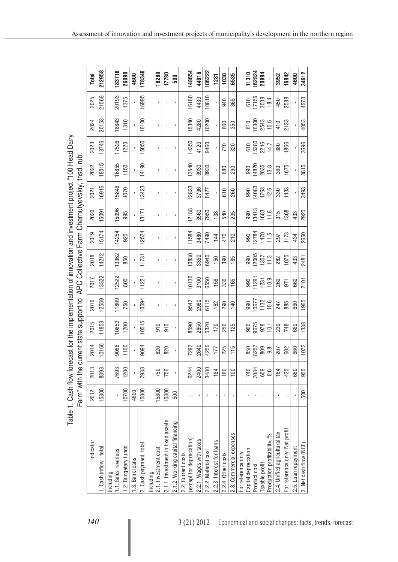| Í<br>Š<br>ĺ<br>ć<br><u>י</u><br>"התוכלות המה לא הוא וה<br>-antoined at issue | ≙<br>ג<br><b>KNA+ 15</b><br>.<br>.<br>.<br>.<br>l<br>֧֧֧֧֧֧֧֧֧֧֧֧֧֛֧֛֪֧֛֛֧֛֪֛֧֛֚֚֚֚֚֚֚֚֚֚֚֚֚֚֚֚֚֚֚֚֚֚֚֝֝֝֝֝֝֝֝֝֝֜֝֬֝֓֝֓֜֝֬֝֓֜֝֝֬֝֝֝֝֝<br>֧֪֖֖֖֖֖֧֧֧֧֧֚֚֚֚֚֚֚֝֝֝֝֝֝֝֓֝֓֝֬֝֓֝֟֓֝֬֝֟֓֝֬֝֓֝֬֝֓֝֬֝֓֝<br>֧֪֪֪֪֪֪֪֪֪֪֪֪֪֪֪֪֛֧֧֪֪֪֪֪֪֪֪֪֪֪֪֪֪֪֪֪֪֪֪֪֪֪֪֪֪֪֪֪֪֪֪֝֝֝֩֝֓֝֬֝֟<br>Ó<br>wo Eorr<br>CONTROL<br>Ĩ. |
|------------------------------------------------------------------------------|----------------------------------------------------------------------------------------------------------------------------------------------------------------------------------------------------------------------------------------------------------------------------------------------------|
|                                                                              |                                                                                                                                                                                                                                                                                                    |
| ;<br>;<br> <br> <br> <br> <br> <br>てく                                        | $\frac{1}{2}$<br>.<br>د<br>l                                                                                                                                                                                                                                                                       |
| ミト                                                                           |                                                                                                                                                                                                                                                                                                    |

| Total     | 212958                | 183718                            | 26090                | 4600            | 178346                 | 18280                             | 17780                             | 500                              | 148654                                         | 44916                   | 106222               | 1281                      | 1030               | 6535                     |                     |                      |              | 11310<br>162824<br>20894                                                                                                                                                                                                                                                                                                                                                                                       |                              | 3952                          | 16942                          | 4600                | 34612                  |
|-----------|-----------------------|-----------------------------------|----------------------|-----------------|------------------------|-----------------------------------|-----------------------------------|----------------------------------|------------------------------------------------|-------------------------|----------------------|---------------------------|--------------------|--------------------------|---------------------|----------------------|--------------|----------------------------------------------------------------------------------------------------------------------------------------------------------------------------------------------------------------------------------------------------------------------------------------------------------------------------------------------------------------------------------------------------------------|------------------------------|-------------------------------|--------------------------------|---------------------|------------------------|
| 2025      | 21568                 | 20193                             | 1375                 |                 | 16995                  |                                   |                                   |                                  | 16180                                          | 4430                    | 10810                |                           | 940                | 365                      |                     |                      |              | 610<br>17155<br>3038                                                                                                                                                                                                                                                                                                                                                                                           | 18.4                         | 450                           | 2588                           |                     | 4573                   |
| 2024      | 20153                 | 18843                             | 1310                 |                 | 16100                  | Ĭ.                                |                                   |                                  | 15340                                          | 4280                    | 10200                |                           | 860                | 350                      |                     | 610                  |              | 16300<br>2543<br>15.6                                                                                                                                                                                                                                                                                                                                                                                          |                              | 410                           | 2133                           |                     | 4053                   |
| 2023      | 18746                 | 17526                             | 1220                 |                 | 15050                  |                                   |                                   |                                  | 14350                                          | 4120                    | 9460                 |                           | 770                | 320                      |                     |                      |              | 610<br>15280<br>14.7<br>14.7                                                                                                                                                                                                                                                                                                                                                                                   |                              | 380                           | 1866                           |                     | 3696                   |
| 2022      | 18015                 | 16855                             | 1150                 |                 | 14190                  | Ĭ.                                |                                   |                                  | 13540                                          | 3930                    | 8930                 |                           | 680                | 290                      |                     |                      | 990<br>14820 | 2035<br>13.8                                                                                                                                                                                                                                                                                                                                                                                                   |                              | 360                           | 1675                           |                     | 3815                   |
| 2021      | 16916                 | 15846                             | 1070                 |                 | 13423                  |                                   |                                   |                                  | 12833                                          | 3796                    | 8427                 |                           | 610                | 260                      |                     | 990                  |              | 14083<br>1763<br>12.6                                                                                                                                                                                                                                                                                                                                                                                          |                              | 330                           | 1433                           |                     | 3493                   |
| 2020      | 16091                 | 15096                             | 995                  |                 | 13171                  |                                   |                                   |                                  | 12188                                          | 3560                    | 7950                 | 138                       | 540                | 235                      |                     |                      |              | 990<br>13413<br>1683                                                                                                                                                                                                                                                                                                                                                                                           | 11.8                         | 315                           | 1368                           | 433                 | 2920                   |
| 2019      | 15174                 | 14254                             | 920                  |                 | 12524                  |                                   |                                   |                                  | 11584                                          | 3480                    | 7490                 | 144                       | 470                | <b>210</b>               |                     |                      |              |                                                                                                                                                                                                                                                                                                                                                                                                                | 990<br>12784<br>1470<br>11.5 | 297                           | 1173                           | 434                 | 2650                   |
| 2018      | 14212                 | 13362                             | 850                  |                 | 11731                  |                                   |                                   |                                  | 10830                                          | 3350                    | 6940                 | 150                       | 390                | 185                      |                     |                      |              | 990<br>12005<br>11.3<br>11.3                                                                                                                                                                                                                                                                                                                                                                                   |                              | 282                           | 1075                           | 433                 | 2481                   |
| 2017      | 13322                 | 12522                             | 800                  |                 | 11221                  |                                   |                                   |                                  | 10136                                          | 3100                    | 6550                 | 156                       | 330                | 165                      |                     |                      |              | $\begin{array}{@{}c@{\hspace{1em}}c@{\hspace{1em}}c@{\hspace{1em}}c@{\hspace{1em}}c@{\hspace{1em}}c@{\hspace{1em}}c@{\hspace{1em}}c@{\hspace{1em}}c@{\hspace{1em}}c@{\hspace{1em}}c@{\hspace{1em}}c@{\hspace{1em}}c@{\hspace{1em}}c@{\hspace{1em}}c@{\hspace{1em}}c@{\hspace{1em}}c@{\hspace{1em}}c@{\hspace{1em}}c@{\hspace{1em}}c@{\hspace{1em}}c@{\hspace{1em}}c@{\hspace{1em}}c@{\hspace{1em}}c@{\hspace{$ |                              | 260                           | 971                            | 660                 | 2101                   |
| 2016      | 12559                 | 11809                             | 750                  |                 | 10594                  | ı                                 |                                   |                                  | 9547                                           | 2980                    | 6115                 | 162                       | 290                | 140                      |                     | 990                  | 10677        | $1132$<br>$10.6$                                                                                                                                                                                                                                                                                                                                                                                               |                              | 247                           | 885                            | 660                 | 1965                   |
| 2015      | 11853                 | 10653                             | 1200                 |                 | 10515                  | 910                               | $\frac{1}{2}$                     |                                  | 8590                                           | 2850                    | 5320                 | 170                       | 250                | 125                      |                     |                      |              | 9675<br>978<br>978<br>10.1                                                                                                                                                                                                                                                                                                                                                                                     |                              | 230                           | 748                            | 660                 | 1338                   |
| 2014      | 10166                 | 9066                              | 1100                 |                 | 9094                   | 820                               | 820                               | f.                               | 7292                                           | 2640                    | 4250                 | 177                       | 225                | 115                      |                     | 850                  |              |                                                                                                                                                                                                                                                                                                                                                                                                                | 8257<br>809<br>9.8           | 207                           | 602                            | 660                 | 1072                   |
| 2013      | 8893                  | 7693                              | 1200                 |                 | 7938                   | 750                               | 750                               |                                  | 6244                                           | 2400                    | 3480                 | 184                       | 180                | 100                      |                     |                      | 7084         | 609<br>8.6                                                                                                                                                                                                                                                                                                                                                                                                     |                              | 184                           | 425                            | 660                 | 955                    |
| 2012      | 15300                 |                                   | 10700                | 4600            | 15800                  | 15800                             | 15300                             | 500                              | ı                                              |                         | J.                   | I.                        | $\blacksquare$     | $\mathbf I$              |                     |                      |              |                                                                                                                                                                                                                                                                                                                                                                                                                |                              |                               | $\mathbf I$                    |                     | $-500$                 |
| Indicator | . Cash inflow - total | 1.1. Sales revenues<br>Including: | 1.2. Budgetary funds | 1.3. Bank loans | 2. Cash payment, total | 2.1. Investment cost<br>Including | 2.1.1. Investment in fixed assets | 2.1.2. Working capital financing | except for depreciation)<br>2.2. Current costs | 2.2.1. Wages with taxes | 2.2.2. Material cost | 2.2.3. Interest for loans | 2.2.4. Other costs | 2.3. Commercial expenses | For reference only: | Capital depreciation | Product cost | Taxable profit                                                                                                                                                                                                                                                                                                                                                                                                 | Production profitability, %  | 2.4. Unified agricultural tax | For reference only: Net profit | 2.5. Loan repayment | 3. Net cash flow (NCF) |

Assessment of innovation and investment projects of municipality's development in the northern region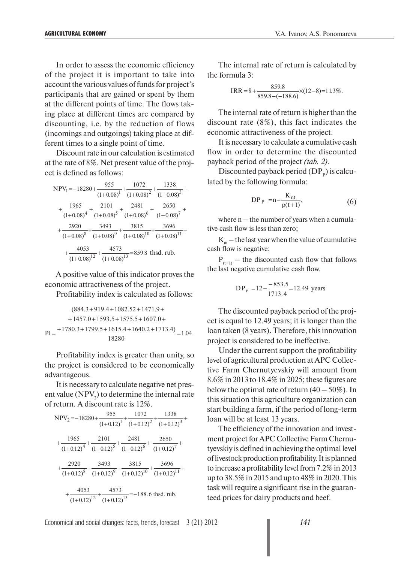In order to assess the economic efficiency of the project it is important to take into account the various values of funds for project's participants that are gained or spent by them at the different points of time. The flows taking place at different times are compared by discounting, i.e. by the reduction of flows (incomings and outgoings) taking place at different times to a single point of time.

Discount rate in our calculation is estimated at the rate of 8%. Net present value of the project is defined as follows:

| $NPV_1 = -18280 +$      | 955                               | 1072                 | 1338            |
|-------------------------|-----------------------------------|----------------------|-----------------|
|                         | $(1+0.08)^{1}$                    | $(1+0.08)^2$         | $(1+0.08)^3$    |
| 1965                    | 2101                              | 2481                 | 2650            |
| $(1+0.08)^4$            | $(1+0.08)^5$                      | $(1+0.08)^6$         | $(1+0.08)^7$    |
| 2920                    | 3493                              | 3815                 | 3696            |
| $(1+0.08)^8$            | $(1+0.08)^9$                      | $(1+0.08)^{10}$      | $(1+0.08)^{11}$ |
| 4053<br>$(1+0.08)^{12}$ | 4573<br>$\frac{1}{(1+0.08)^{13}}$ | $= 859.8$ thsd. rub. |                 |

A positive value of this indicator proves the economic attractiveness of the project.

Profitability index is calculated as follows:

$$
(884.3+919.4+1082.52+1471.9+
$$
  
+1457.0+1593.5+1575.5+1607.0+  
PI=
$$
\frac{+1780.3+1799.5+1615.4+1640.2+1713.4)}{18280}
$$
=1.04.

Profitability index is greater than unity, so the project is considered to be economically advantageous.

It is necessary to calculate negative net present value ( $NPV<sub>2</sub>$ ) to determine the internal rate of return. A discount rate is 12%.

|                                                                               |  |                                                                                                           | NPV <sub>2</sub> = $-18280 + \frac{955}{(1+0.12)^1} + \frac{1072}{(1+0.12)^2} + \frac{1338}{(1+0.12)^3} +$      |  |  |  |  |  |  |  |
|-------------------------------------------------------------------------------|--|-----------------------------------------------------------------------------------------------------------|-----------------------------------------------------------------------------------------------------------------|--|--|--|--|--|--|--|
|                                                                               |  |                                                                                                           |                                                                                                                 |  |  |  |  |  |  |  |
|                                                                               |  |                                                                                                           |                                                                                                                 |  |  |  |  |  |  |  |
|                                                                               |  | $\frac{1965}{(1+0.12)^4} + \frac{2101}{(1+0.12)^5} + \frac{2481}{(1+0.12)^6} + \frac{2650}{(1+0.12)^7} +$ |                                                                                                                 |  |  |  |  |  |  |  |
|                                                                               |  |                                                                                                           |                                                                                                                 |  |  |  |  |  |  |  |
|                                                                               |  |                                                                                                           | $\frac{2920}{(1+0.12)^8} + \frac{3493}{(1+0.12)^9} + \frac{3815}{(1+0.12)^{10}} + \frac{3696}{(1+0.12)^{11}} +$ |  |  |  |  |  |  |  |
| $\frac{4053}{(1+0.12)^{12}} + \frac{4573}{(1+0.12)^{13}} = -188.6$ thsd. rub. |  |                                                                                                           |                                                                                                                 |  |  |  |  |  |  |  |

The internal rate of return is calculated by the formula 3:

$$
IRR = 8 + \frac{859.8}{859.8 - (-188.6)} \times (12 - 8) = 11.3\%.
$$

The internal rate of return is higher than the discount rate (8%), this fact indicates the economic attractiveness of the project.

It is necessary to calculate a cumulative cash flow in order to determine the discounted payback period of the project *(tab. 2)*.

Discounted payback period  $(DP<sub>n</sub>)$  is calculated by the following formula:

$$
DP_{P} = n - \frac{K_{nt}}{p(t+1)},\tag{6}
$$

where  $n -$  the number of years when a cumulative cash flow is less than zero;

 $K_{nt}$  – the last year when the value of cumulative cash flow is negative;

 $P_{(t+1)}$  – the discounted cash flow that follows the last negative cumulative cash flow.

$$
DP_{P} = 12 - \frac{-853.5}{1713.4} = 12.49
$$
 years

The discounted payback period of the project is equal to 12.49 years; it is longer than the loan taken (8 years). Therefore, this innovation project is considered to be ineffective.

Under the current support the profitability level of agricultural production at APC Collective Farm Chernutyevskiy will amount from 8.6% in 2013 to 18.4% in 2025; these figures are below the optimal rate of return  $(40 - 50\%)$ . In this situation this agriculture organization can start building a farm, if the period of long-term loan will be at least 13 years.

The efficiency of the innovation and investment project for APC Collective Farm Chernutyevskiy is defined in achieving the optimal level of livestock production profitability. It is planned to increase a profitability level from 7.2% in 2013 up to 38.5% in 2015 and up to 48% in 2020. This task will require a significant rise in the guaranteed prices for dairy products and beef.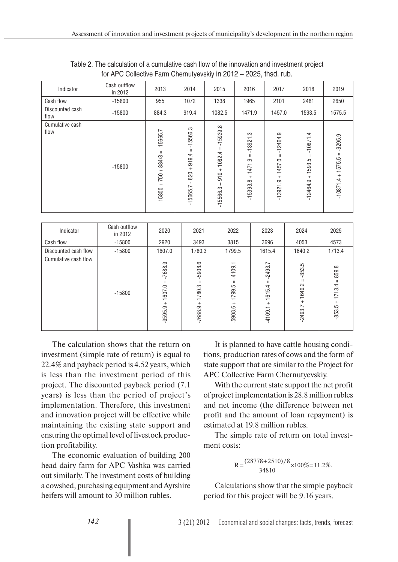| Indicator               | Cash outflow<br>in 2012 | 2013                                                            | 2014                                                                                | 2015                                                                                        | 2016                                                                  | 2017                                                                          | 2018                                                              | 2019                                               |
|-------------------------|-------------------------|-----------------------------------------------------------------|-------------------------------------------------------------------------------------|---------------------------------------------------------------------------------------------|-----------------------------------------------------------------------|-------------------------------------------------------------------------------|-------------------------------------------------------------------|----------------------------------------------------|
| Cash flow               | $-15800$                | 955                                                             | 1072                                                                                | 1338                                                                                        | 1965                                                                  | 2101                                                                          | 2481                                                              | 2650                                               |
| Discounted cash<br>flow | $-15800$                | 884.3                                                           | 919.4                                                                               | 1082.5                                                                                      | 1471.9                                                                | 1457.0                                                                        | 1593.5                                                            | 1575.5                                             |
| Cumulative cash<br>flow | $-15800$                | r.<br>$-15665.$<br>Ш<br>884/3<br>$\ddot{}$<br>750<br>$-15800 +$ | $-15566.3$<br>Ш<br>919.4<br>$\qquad \qquad +$<br>820<br>$\overline{ }$<br>$-15665.$ | 15939.8<br>$\mathbf{I}$<br>$\mathbf{H}$<br>1082.4<br>$\qquad \qquad +$<br>910<br>$-15566.3$ | က္<br>$-13921$ .<br>$\mathbf{H}$<br>1471.9<br>$\ddot{}$<br>$-15393.8$ | $-12464.9$<br>$\mathbf{H}$<br>1457.0<br>$\qquad \qquad +$<br>ာ့<br>$-13921$ . | 4<br>$-10871$ .<br>$\mathbf{H}$<br>1593.5<br>$^{+}$<br>$-12464.9$ | $-9295.9$<br>$\mathbf H$<br>1575.5<br>$-10871.4 +$ |

| Table 2. The calculation of a cumulative cash flow of the innovation and investment project |
|---------------------------------------------------------------------------------------------|
| for APC Collective Farm Chernutyevskiy in 2012 - 2025, thsd. rub.                           |

| Indicator            | Cash outflow<br>in 2012 | 2020                                               | 2021                                            | 2022                                            | 2023                                                       | 2024                                                   | 2025                                                     |
|----------------------|-------------------------|----------------------------------------------------|-------------------------------------------------|-------------------------------------------------|------------------------------------------------------------|--------------------------------------------------------|----------------------------------------------------------|
| Cash flow            | $-15800$                | 2920                                               | 3493                                            | 3815                                            | 3696                                                       | 4053                                                   | 4573                                                     |
| Discounted cash flow | $-15800$                | 1607.0                                             | 1780.3                                          | 1799.5                                          | 1615.4                                                     | 1640.2                                                 | 1713.4                                                   |
| Cumulative cash flow | $-15800$                | 7688.9<br>Ш<br>1607.0<br>$\ddot{}$<br>တ္<br>-9595. | 5908.6<br>Ш<br>1780.3<br>$\ddot{}$<br>$-7688.9$ | 4109.1<br>Ш<br>1799.5<br>$\ddot{}$<br>$-5908.6$ | L.<br>$-2493.$<br>Ш<br>1615.4<br>$\! + \!\!\!\!$<br>4109.1 | $-853.5$<br>$\mathbf{H}$<br>1640.2<br>$+$<br>$-2493.7$ | 859.8<br>$\mathbf{H}$<br>1713.4<br>$\ddot{}$<br>$-853.5$ |

The calculation shows that the return on investment (simple rate of return) is equal to 22.4% and payback period is 4.52 years, which is less than the investment period of this project. The discounted payback period (7.1 years) is less than the period of project's implementation. Therefore, this investment and innovation project will be effective while maintaining the existing state support and ensuring the optimal level of livestock production profitability.

The economic evaluation of building 200 head dairy farm for APC Vashka was carried out similarly. The investment costs of building a cowshed, purchasing equipment and Ayrshire heifers will amount to 30 million rubles.

It is planned to have cattle housing conditions, production rates of cows and the form of state support that are similar to the Project for APC Collective Farm Chernutyevskiy.

With the current state support the net profit of project implementation is 28.8 million rubles and net income (the difference between net profit and the amount of loan repayment) is estimated at 19.8 million rubles.

The simple rate of return on total investment costs:

$$
R = \frac{(28778 + 2510)/8}{34810} \times 100\% = 11.2\%.
$$

Calculations show that the simple payback period for this project will be 9.16 years.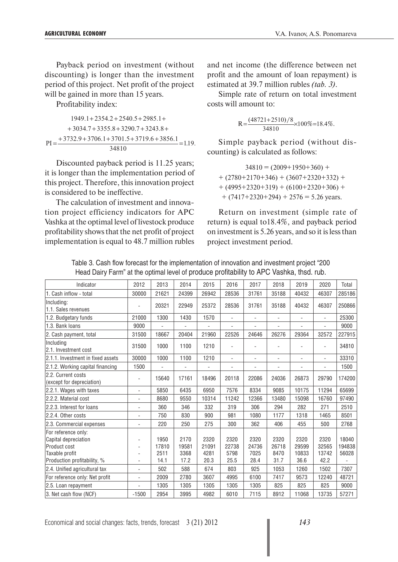Payback period on investment (without discounting) is longer than the investment period of this project. Net profit of the project will be gained in more than 15 years.

Profitability index:

$$
1949.1 + 2354.2 + 2540.5 + 2985.1 +
$$
  
+ 3034.7 + 3355.8 + 3290.7 + 3243.8 +  
PI = 
$$
\frac{+ 3732.9 + 3706.1 + 3701.5 + 3719.6 + 3856.1}{34810} = 1.19.
$$

Discounted payback period is 11.25 years; it is longer than the implementation period of this project. Therefore, this innovation project is considered to be ineffective.

The calculation of investment and innovation project efficiency indicators for APC Vashka at the optimal level of livestock produce profitability shows that the net profit of project implementation is equal to 48.7 million rubles and net income (the difference between net profit and the amount of loan repayment) is estimated at 39.7 million rubles *(tab. 3)*.

Simple rate of return on total investment costs will amount to:

$$
R = \frac{(48721 + 2510)/8}{34810} \times 100\% = 18.4\%.
$$

Simple payback period (without discounting) is calculated as follows:

 $34810 = (2009 + 1950 + 360) +$  $+ (2780 + 2170 + 346) + (3607 + 2320 + 332) +$  $+$  (4995+2320+319) + (6100+2320+306) +  $+$  (7417+2320+294) + 2576 = 5.26 years.

Return on investment (simple rate of return) is equal to18.4%, and payback period on investment is 5.26 years, and so it is less than project investment period.

| Table 3. Cash flow forecast for the implementation of innovation and investment project "200 |  |
|----------------------------------------------------------------------------------------------|--|
| Head Dairy Farm" at the optimal level of produce profitability to APC Vashka, thsd. rub.     |  |

| Indicator                                                                                                    | 2012                         | 2013                          | 2014                          | 2015                          | 2016                          | 2017                          | 2018                          | 2019                           | 2020                           | Total                    |
|--------------------------------------------------------------------------------------------------------------|------------------------------|-------------------------------|-------------------------------|-------------------------------|-------------------------------|-------------------------------|-------------------------------|--------------------------------|--------------------------------|--------------------------|
| 1. Cash inflow - total                                                                                       | 30000                        | 21621                         | 24399                         | 26942                         | 28536                         | 31761                         | 35188                         | 40432                          | 46307                          | 285186                   |
| Including:<br>1.1. Sales revenues                                                                            |                              | 20321                         | 22949                         | 25372                         | 28536                         | 31761                         | 35188                         | 40432                          | 46307                          | 250866                   |
| 1.2. Budgetary funds                                                                                         | 21000                        | 1300                          | 1430                          | 1570                          | L,                            | $\overline{\phantom{0}}$      | $\overline{\phantom{0}}$      |                                |                                | 25300                    |
| 1.3. Bank loans                                                                                              | 9000                         | $\overline{a}$                |                               |                               |                               | $\overline{a}$                | $\overline{\phantom{0}}$      |                                |                                | 9000                     |
| 2. Cash payment, total                                                                                       | 31500                        | 18667                         | 20404                         | 21960                         | 22526                         | 24646                         | 26276                         | 29364                          | 32572                          | 227915                   |
| Including<br>2.1. Investment cost                                                                            | 31500                        | 1000                          | 1100                          | 1210                          |                               | $\overline{a}$                |                               |                                |                                | 34810                    |
| 2.1.1. Investment in fixed assets                                                                            | 30000                        | 1000                          | 1100                          | 1210                          | $\blacksquare$                | $\overline{\phantom{0}}$      | $\overline{\phantom{0}}$      | L,                             | $\overline{a}$                 | 33310                    |
| 2.1.2. Working capital financing                                                                             | 1500                         | L,                            |                               |                               |                               | $\overline{\phantom{0}}$      |                               |                                |                                | 1500                     |
| 2.2. Current costs<br>(except for depreciation)                                                              | L,                           | 15640                         | 17161                         | 18496                         | 20118                         | 22086                         | 24036                         | 26873                          | 29790                          | 174200                   |
| 2.2.1. Wages with taxes                                                                                      | L,                           | 5850                          | 6435                          | 6950                          | 7576                          | 8334                          | 9085                          | 10175                          | 11294                          | 65699                    |
| 2.2.2. Material cost                                                                                         |                              | 8680                          | 9550                          | 10314                         | 11242                         | 12366                         | 13480                         | 15098                          | 16760                          | 97490                    |
| 2.2.3. Interest for loans                                                                                    | L,                           | 360                           | 346                           | 332                           | 319                           | 306                           | 294                           | 282                            | 271                            | 2510                     |
| 2.2.4. Other costs                                                                                           | $\overline{a}$               | 750                           | 830                           | 900                           | 981                           | 1080                          | 1177                          | 1318                           | 1465                           | 8501                     |
| 2.3. Commercial expenses                                                                                     | L,                           | 220                           | 250                           | 275                           | 300                           | 362                           | 406                           | 455                            | 500                            | 2768                     |
| For reference only:<br>Capital depreciation<br>Product cost<br>Taxable profit<br>Production profitability, % |                              | 1950<br>17810<br>2511<br>14.1 | 2170<br>19581<br>3368<br>17.2 | 2320<br>21091<br>4281<br>20.3 | 2320<br>22738<br>5798<br>25.5 | 2320<br>24736<br>7025<br>28.4 | 2320<br>26718<br>8470<br>31.7 | 2320<br>29599<br>10833<br>36.6 | 2320<br>32565<br>13742<br>42.2 | 18040<br>194838<br>56028 |
| 2.4. Unified agricultural tax                                                                                | $\overline{a}$               | 502                           | 588                           | 674                           | 803                           | 925                           | 1053                          | 1260                           | 1502                           | 7307                     |
| For reference only: Net profit                                                                               | L,                           | 2009                          | 2780                          | 3607                          | 4995                          | 6100                          | 7417                          | 9573                           | 12240                          | 48721                    |
| 2.5. Loan repayment                                                                                          | $\qquad \qquad \blacksquare$ | 1305                          | 1305                          | 1305                          | 1305                          | 1305                          | 825                           | 825                            | 825                            | 9000                     |
| 3. Net cash flow (NCF)                                                                                       | $-1500$                      | 2954                          | 3995                          | 4982                          | 6010                          | 7115                          | 8912                          | 11068                          | 13735                          | 57271                    |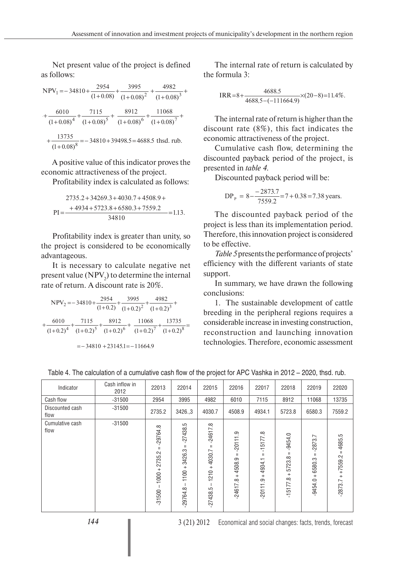Net present value of the project is defined as follows:

$$
NPV_1 = -34810 + \frac{2954}{(1+0.08)} + \frac{3995}{(1+0.08)^2} + \frac{4982}{(1+0.08)^3} + \frac{6010}{(1+0.08)^4} + \frac{7115}{(1+0.08)^5} + \frac{8912}{(1+0.08)^6} + \frac{11068}{(1+0.08)^7} + \frac{13735}{(1+0.08)^8} = -34810 + 39498.5 = 4688.5 \text{ thsd. rub.}
$$

A positive value of this indicator proves the economic attractiveness of the project.

Profitability index is calculated as follows:

$$
2735.2 + 34269.3 + 4030.7 + 4508.9 +
$$
  
PI = 
$$
\frac{+ 4934 + 5723.8 + 6580.3 + 7559.2}{34810} = 1.13.
$$

Profitability index is greater than unity, so the project is considered to be economically advantageous.

It is necessary to calculate negative net present value  $(NPV<sub>2</sub>)$  to determine the internal rate of return. A discount rate is 20%.

$$
NPV_2 = -34810 + \frac{2954}{(1+0.2)} + \frac{3995}{(1+0.2)^2} + \frac{4982}{(1+0.2)^3} + \frac{6010}{(1+0.2)^4} + \frac{7115}{(1+0.2)^5} + \frac{8912}{(1+0.2)^6} + \frac{11068}{(1+0.2)^7} + \frac{13735}{(1+0.2)^8} =
$$
  
= -34810 + 23145.1 = -11664.9

The internal rate of return is calculated by the formula 3:

$$
IRR = 8 + \frac{4688.5}{4688.5 - (-111664.9)} \times (20 - 8) = 11.4\%.
$$

The internal rate of return is higher than the discount rate (8%), this fact indicates the economic attractiveness of the project.

Cumulative cash flow, determining the discounted payback period of the project, is presented in *table 4*.

Discounted payback period will be:

$$
DPP = 8 - \frac{-2873.7}{7559.2} = 7 + 0.38 = 7.38
$$
 years.

The discounted payback period of the project is less than its implementation period. Therefore, this innovation project is considered to be effective.

*Table 5* presents the performance of projects' efficiency with the different variants of state support.

In summary, we have drawn the following conclusions:

1. The sustainable development of cattle breeding in the peripheral regions requires a considerable increase in investing construction, reconstruction and launching innovation technologies. Therefore, economic assessment

|  |  |  | Table 4. The calculation of a cumulative cash flow of the project for APC Vashka in 2012 - 2020, thsd. rub. |  |  |
|--|--|--|-------------------------------------------------------------------------------------------------------------|--|--|
|--|--|--|-------------------------------------------------------------------------------------------------------------|--|--|

| Indicator               | Cash inflow in<br>2012 | 22013                                                                                                                                                                                                                                                                                                                                                                                                                              | 22014                                                                                | 22015                                                               | 22016                                                              | 22017                                                        | 22018                                                    | 22019                                                   | 22020                                                 |
|-------------------------|------------------------|------------------------------------------------------------------------------------------------------------------------------------------------------------------------------------------------------------------------------------------------------------------------------------------------------------------------------------------------------------------------------------------------------------------------------------|--------------------------------------------------------------------------------------|---------------------------------------------------------------------|--------------------------------------------------------------------|--------------------------------------------------------------|----------------------------------------------------------|---------------------------------------------------------|-------------------------------------------------------|
| Cash flow               | $-31500$               | 2954                                                                                                                                                                                                                                                                                                                                                                                                                               | 3995                                                                                 | 4982                                                                | 6010                                                               | 7115                                                         | 8912                                                     | 11068                                                   | 13735                                                 |
| Discounted cash<br>flow | $-31500$               | 2735.2                                                                                                                                                                                                                                                                                                                                                                                                                             | 3426.3                                                                               | 4030.7                                                              | 4508.9                                                             | 4934.1                                                       | 5723.8                                                   | 6580.3                                                  | 7559.2                                                |
| Cumulative cash<br>flow | $-31500$               | 29764.8<br>$\mathbf{H}% =\mathbf{H}(\mathbf{Q}^{T}\mathbf{Q}^{T}\mathbf{Q}^{T}\mathbf{Q}^{T}% \mathbf{Q}^{T}\mathbf{Q}^{T}\mathbf{Q}^{T} \mathbf{Q}^{T} \mathbf{Q}^{T} \mathbf{Q}^{T} \mathbf{Q}^{T} \mathbf{Q}^{T} \mathbf{Q}^{T} \mathbf{Q}^{T} \mathbf{Q}^{T} \mathbf{Q}^{T} \mathbf{Q}^{T} \mathbf{Q}^{T} \mathbf{Q}^{T} \mathbf{Q}^{T} \mathbf{Q}^{T} \mathbf{Q}^{T} \mathbf{Q}^{T} \mathbf{Q$<br>2735.2<br>$1000 +$<br>31500 | نۍ<br>$-27438.$<br>$\mathbf{H}$<br>3426.3<br>$\qquad \qquad +$<br>1100<br>$-29764.8$ | œ<br>$-24617$<br>$\mathbf{H}$<br>$+4030.7$<br>1210<br>5<br>.27438.5 | တ္<br>20111<br>$\mathbf{H}$<br>4508.9<br>$+$<br>$\infty$<br>24617. | œ<br>$-15177$ .<br>Ш<br>4934.<br>$\ddot{}$<br>ာ.<br>$-20111$ | $-9454.0$<br>Ш<br>5723.8<br>$\ddot{}$<br>œ<br>$-15177$ . | $-2873.7$<br>$\mathbf{H}$<br>6580.3<br>$+$<br>$-9454.0$ | ċ.<br>4685.<br>$\mathbf{H}$<br>$+7559.2$<br>$-2873.7$ |

*144* 3 (21) 2012 Economical and social changes: facts, trends, forecast